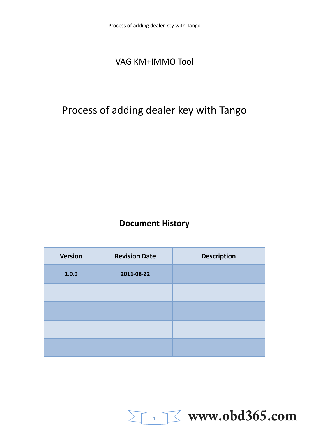## VAG KM+IMMO Tool

# Process of adding dealer key with Tango

### **[Document History](http://www.chinasinoy.com/)**

| <b>Version</b> | <b>Revision Date</b> | <b>Description</b> |
|----------------|----------------------|--------------------|
| 1.0.0          | 2011-08-22           |                    |
|                |                      |                    |
|                |                      |                    |
|                |                      |                    |
|                |                      |                    |

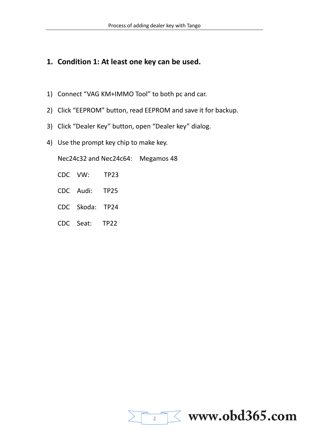#### **1. Condition 1: At least one key can be used.**

- 1) Connect "VAG KM+IMMO Tool" to both pc and car.
- 2) Click "EEPROM" button, read EEPROM and save it for backup.
- <span id="page-1-0"></span>3) Click "Dealer Key" button, open "Dealer key" dialog.
- 4) Use the prompt key chip to make key.

Nec[24c32 and Nec24c64: Megamos 48](http://www.chinasinoy.com/) 

- CDC VW: TP23
- CDC Audi: TP25
- CDC Skoda: TP24
- CDC Seat: TP22

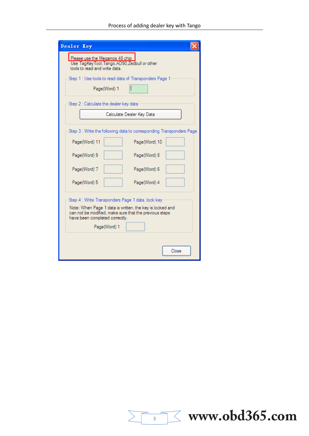| Dealer Key                                                                                                                                                                                                |  |  |  |  |
|-----------------------------------------------------------------------------------------------------------------------------------------------------------------------------------------------------------|--|--|--|--|
| Please use the Megamos 48 chip<br>Use TagKeyTool, Tango, AD90, Zedbull or other<br>tools to read and write data.                                                                                          |  |  |  |  |
| Step 1 : Use tools to read data of Transponders Page 1<br>Page(Word) 1                                                                                                                                    |  |  |  |  |
| Step 2 : Calculate the dealer key data                                                                                                                                                                    |  |  |  |  |
| Calculate Dealer Key Data                                                                                                                                                                                 |  |  |  |  |
| Step 3 : Write the following data to corresponding Transponders Page                                                                                                                                      |  |  |  |  |
| Page(Word) 11<br>Page(Word) 10                                                                                                                                                                            |  |  |  |  |
| Page(Word) 9<br>Page(Word) 8                                                                                                                                                                              |  |  |  |  |
| Page(Word) 7<br>Page(Word) 6                                                                                                                                                                              |  |  |  |  |
| Page(Word) 5<br>Page(Word) 4                                                                                                                                                                              |  |  |  |  |
| Step 4 : Write Transponders Page 1 data, lock key<br>Note: When Page 1 data is written, the key is locked and<br>can not be modified, make sure that the previous steps<br>have been completed correctly. |  |  |  |  |
| Page(Word) 1                                                                                                                                                                                              |  |  |  |  |
| Close                                                                                                                                                                                                     |  |  |  |  |

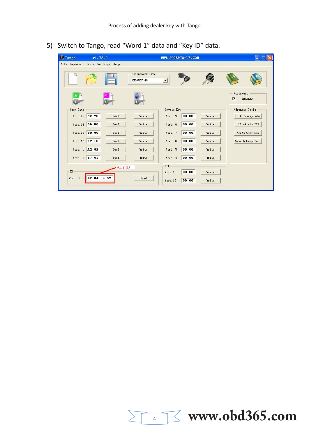5) Switch to Tango, read "Word 1" data and "Key ID" data.



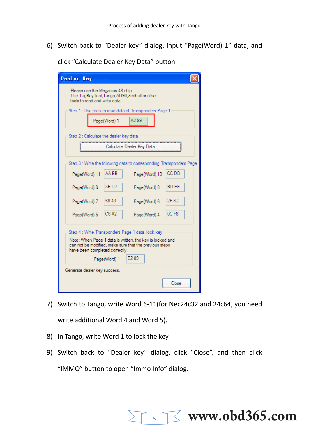6) Switch back to "Dealer key" dialog, input "Page(Word) 1" data, and

| Dealer Key                                                                                                                                           |  |                                 |                                                                                                                                       |  |                                             |  |
|------------------------------------------------------------------------------------------------------------------------------------------------------|--|---------------------------------|---------------------------------------------------------------------------------------------------------------------------------------|--|---------------------------------------------|--|
| Please use the Megamos 48 chip<br>Use TagKeyTool, Tango, AD90, Zedbull or other<br>tools to read and write data.                                     |  |                                 |                                                                                                                                       |  |                                             |  |
| Step 1 : Use tools to read data of Transponders Page 1                                                                                               |  |                                 |                                                                                                                                       |  |                                             |  |
|                                                                                                                                                      |  | Page(Word) 1                    | A289                                                                                                                                  |  |                                             |  |
| Step 2 : Calculate the dealer key data                                                                                                               |  |                                 |                                                                                                                                       |  |                                             |  |
|                                                                                                                                                      |  |                                 | Calculate Dealer Kev Data                                                                                                             |  |                                             |  |
| Page(Word) 11<br>Page(Word) 9<br>Page(Word) 7<br>Page(Word) 5                                                                                        |  | AA BB<br>3B D7<br>6843<br>C6 A2 | Step 3 : Write the following data to corresponding Transponders Page<br>Page(Word) 10<br>Page(Word) 8<br>Page(Word) 6<br>Page(Word) 4 |  | CC DD<br>BD <sub>F9</sub><br>2F 8C<br>OC F8 |  |
| Step 4 : Write Transponders Page 1 data, lock key                                                                                                    |  |                                 |                                                                                                                                       |  |                                             |  |
| Note: When Page 1 data is written, the key is locked and<br>can not be modified, make sure that the previous steps<br>have been completed correctly. |  |                                 |                                                                                                                                       |  |                                             |  |
|                                                                                                                                                      |  | Page(Word) 1                    | E <sub>2</sub> 89                                                                                                                     |  |                                             |  |
| Generate dealer key success.                                                                                                                         |  |                                 |                                                                                                                                       |  |                                             |  |
|                                                                                                                                                      |  |                                 |                                                                                                                                       |  | Close                                       |  |

click "Calculate Dealer Key Data" button.

- 7) Switch to Tango, write Word 6-11(for Nec24c32 and 24c64, you need write additional Word 4 and Word 5).
- 8) In Tango, write Word 1 to lock the key.
- 9) Switch back to "Dealer key" dialog, click "Close", and then click "IMMO" button to open "Immo Info" dialog.

5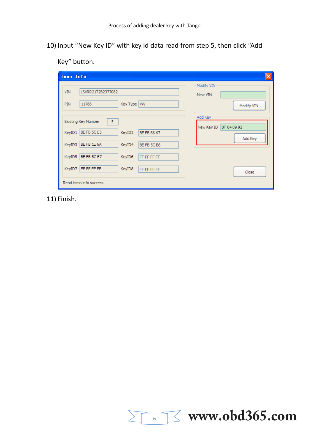10) Input "New Key ID" with key id data read from step 5, then click "Add

Key" button.

| Inno Info                                                                                                                       | $\boldsymbol{\mathsf{x}}$                       |
|---------------------------------------------------------------------------------------------------------------------------------|-------------------------------------------------|
| <b>VIN</b><br>LSVRR21T2B2377082<br>Key Type   VW<br>PIN<br>11786                                                                | Modify VIN<br>New VIN<br>Modify VIN             |
| Existing Key Number<br>$-5$<br>BE FB 5C E5<br>KeyID1<br>KeyID2<br>BE FB 66 67<br>BE FB 1E 6A<br>KeyID3<br>KeyID4<br>BE FB 5C E6 | Add Key<br>BF 04 09 92<br>New Key ID<br>Add Key |
| BE FB 5C E7<br>KeyID5<br>KeyID6<br>FF FF FF FF<br>FF FF FF FF<br>KeyID7<br>KeyID8<br>FF FF FF FF<br>Read immo info success.     | Close                                           |

11) Finish.

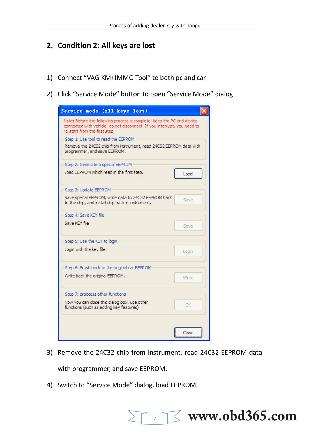#### **2. Condition 2: All keys are lost**

- 1) Connect "VAG KM+IMMO Tool" to both pc and car.
- 2) Click "Service Mode" button to open "Service Mode" dialog.

| Service node (all keys lost)                                                                                                                                                        |       |  |  |  |  |
|-------------------------------------------------------------------------------------------------------------------------------------------------------------------------------------|-------|--|--|--|--|
| Note: Before the following process is complete, keep the PC and device<br>connected with vehicle, do not disconnect. If you interrupt, you need to<br>re-start from the first step. |       |  |  |  |  |
| Step 1: Use tool to read the EEPROM                                                                                                                                                 |       |  |  |  |  |
| Remove the 24C32 chip from instrument, read 24C32 EEPROM data with<br>programmer, and save EEPROM.                                                                                  |       |  |  |  |  |
| Step 2: Generate a special EEPROM                                                                                                                                                   |       |  |  |  |  |
| Load EEPROM which read in the first step.                                                                                                                                           | Load  |  |  |  |  |
| Step 3: Update EEPROM                                                                                                                                                               |       |  |  |  |  |
| Save special EEPROM, write data to 24C32 EEPROM back<br>to the chip, and install chip back in instrument.                                                                           | Save  |  |  |  |  |
| Step 4: Save KEY file                                                                                                                                                               |       |  |  |  |  |
| Save KEY file                                                                                                                                                                       | Save  |  |  |  |  |
| Step 5: Use the KEY to login                                                                                                                                                        |       |  |  |  |  |
| Login with the key file.                                                                                                                                                            | Login |  |  |  |  |
| Step 6: Brush back to the original car EEPROM                                                                                                                                       |       |  |  |  |  |
| Write back the original EEPROM.                                                                                                                                                     | Write |  |  |  |  |
| Step 7: proccess other functions                                                                                                                                                    |       |  |  |  |  |
| Now you can close this dialog box, use other<br>functions (such as adding key features)                                                                                             | OK    |  |  |  |  |
|                                                                                                                                                                                     | Close |  |  |  |  |
|                                                                                                                                                                                     |       |  |  |  |  |

3) Remove the 24C32 chip from instrument, read 24C32 EEPROM data with programmer, and save EEPROM.

 $\overline{7}$ 

**www.obd365.com**

4) Switch to "Service Mode" dialog, load EEPROM.